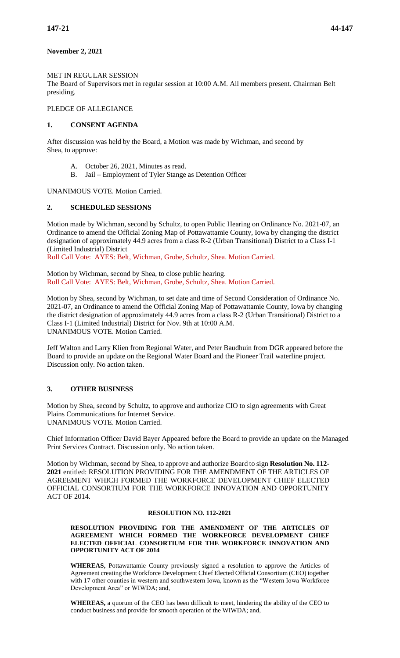# **November 2, 2021**

### MET IN REGULAR SESSION

The Board of Supervisors met in regular session at 10:00 A.M. All members present. Chairman Belt presiding.

# PLEDGE OF ALLEGIANCE

## **1. CONSENT AGENDA**

After discussion was held by the Board, a Motion was made by Wichman, and second by Shea, to approve:

- A. October 26, 2021, Minutes as read.
- B. Jail Employment of Tyler Stange as Detention Officer

UNANIMOUS VOTE. Motion Carried.

## **2. SCHEDULED SESSIONS**

Motion made by Wichman, second by Schultz, to open Public Hearing on Ordinance No. 2021-07, an Ordinance to amend the Official Zoning Map of Pottawattamie County, Iowa by changing the district designation of approximately 44.9 acres from a class R-2 (Urban Transitional) District to a Class I-1 (Limited Industrial) District

Roll Call Vote: AYES: Belt, Wichman, Grobe, Schultz, Shea. Motion Carried.

Motion by Wichman, second by Shea, to close public hearing. Roll Call Vote: AYES: Belt, Wichman, Grobe, Schultz, Shea. Motion Carried.

Motion by Shea, second by Wichman, to set date and time of Second Consideration of Ordinance No. 2021-07, an Ordinance to amend the Official Zoning Map of Pottawattamie County, Iowa by changing the district designation of approximately 44.9 acres from a class R-2 (Urban Transitional) District to a Class I-1 (Limited Industrial) District for Nov. 9th at 10:00 A.M. UNANIMOUS VOTE. Motion Carried.

Jeff Walton and Larry Klien from Regional Water, and Peter Baudhuin from DGR appeared before the Board to provide an update on the Regional Water Board and the Pioneer Trail waterline project. Discussion only. No action taken.

# **3. OTHER BUSINESS**

Motion by Shea, second by Schultz, to approve and authorize CIO to sign agreements with Great Plains Communications for Internet Service. UNANIMOUS VOTE. Motion Carried.

Chief Information Officer David Bayer Appeared before the Board to provide an update on the Managed Print Services Contract. Discussion only. No action taken.

Motion by Wichman, second by Shea, to approve and authorize Board to sign **Resolution No. 112- 2021** entitled: RESOLUTION PROVIDING FOR THE AMENDMENT OF THE ARTICLES OF AGREEMENT WHICH FORMED THE WORKFORCE DEVELOPMENT CHIEF ELECTED OFFICIAL CONSORTIUM FOR THE WORKFORCE INNOVATION AND OPPORTUNITY ACT OF 2014.

#### **RESOLUTION NO. 112-2021**

#### **RESOLUTION PROVIDING FOR THE AMENDMENT OF THE ARTICLES OF AGREEMENT WHICH FORMED THE WORKFORCE DEVELOPMENT CHIEF ELECTED OFFICIAL CONSORTIUM FOR THE WORKFORCE INNOVATION AND OPPORTUNITY ACT OF 2014**

**WHEREAS,** Pottawattamie County previously signed a resolution to approve the Articles of Agreement creating the Workforce Development Chief Elected Official Consortium (CEO) together with 17 other counties in western and southwestern Iowa, known as the "Western Iowa Workforce Development Area" or WIWDA; and,

**WHEREAS,** a quorum of the CEO has been difficult to meet, hindering the ability of the CEO to conduct business and provide for smooth operation of the WIWDA; and,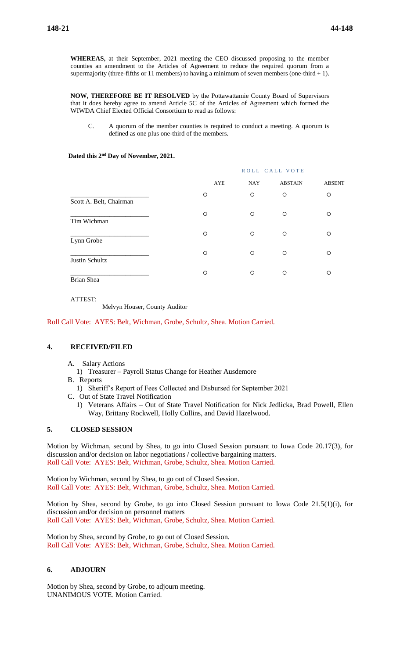**WHEREAS,** at their September, 2021 meeting the CEO discussed proposing to the member counties an amendment to the Articles of Agreement to reduce the required quorum from a supermajority (three-fifths or 11 members) to having a minimum of seven members (one-third  $+ 1$ ).

**NOW, THEREFORE BE IT RESOLVED** by the Pottawattamie County Board of Supervisors that it does hereby agree to amend Article 5C of the Articles of Agreement which formed the WIWDA Chief Elected Official Consortium to read as follows:

C. A quorum of the member counties is required to conduct a meeting. A quorum is defined as one plus one-third of the members.

#### **Dated this 2nd Day of November, 2021.**

|                         |         | ROLL CALL VOTE    |                |               |  |
|-------------------------|---------|-------------------|----------------|---------------|--|
|                         |         | <b>NAY</b><br>AYE | <b>ABSTAIN</b> | <b>ABSENT</b> |  |
| Scott A. Belt, Chairman | $\circ$ | $\circ$           | $\circ$        | $\circ$       |  |
| Tim Wichman             | $\circ$ | $\circ$           | $\circ$        | O             |  |
| Lynn Grobe              | $\circ$ | $\circ$           | $\circ$        | $\circ$       |  |
| Justin Schultz          | $\circ$ | $\circ$           | $\circ$        | $\circ$       |  |
| Brian Shea              | $\circ$ | $\circ$           | $\circ$        | O             |  |

ATTEST: \_\_\_\_\_\_\_\_\_\_\_\_\_\_\_\_\_\_\_\_\_\_\_\_\_\_\_\_\_\_\_\_\_\_\_\_\_\_\_\_\_\_\_\_\_\_\_\_\_

Melvyn Houser, County Auditor

Roll Call Vote: AYES: Belt, Wichman, Grobe, Schultz, Shea. Motion Carried.

## **4. RECEIVED/FILED**

- A. Salary Actions
	- 1) Treasurer Payroll Status Change for Heather Ausdemore
- B. Reports
	- 1) Sheriff's Report of Fees Collected and Disbursed for September 2021
- C. Out of State Travel Notification
	- 1) Veterans Affairs Out of State Travel Notification for Nick Jedlicka, Brad Powell, Ellen Way, Brittany Rockwell, Holly Collins, and David Hazelwood.

## **5. CLOSED SESSION**

Motion by Wichman, second by Shea, to go into Closed Session pursuant to Iowa Code 20.17(3), for discussion and/or decision on labor negotiations / collective bargaining matters. Roll Call Vote: AYES: Belt, Wichman, Grobe, Schultz, Shea. Motion Carried.

Motion by Wichman, second by Shea, to go out of Closed Session. Roll Call Vote: AYES: Belt, Wichman, Grobe, Schultz, Shea. Motion Carried.

Motion by Shea, second by Grobe, to go into Closed Session pursuant to Iowa Code 21.5(1)(i), for discussion and/or decision on personnel matters Roll Call Vote: AYES: Belt, Wichman, Grobe, Schultz, Shea. Motion Carried.

Motion by Shea, second by Grobe, to go out of Closed Session. Roll Call Vote: AYES: Belt, Wichman, Grobe, Schultz, Shea. Motion Carried.

## **6. ADJOURN**

Motion by Shea, second by Grobe, to adjourn meeting. UNANIMOUS VOTE. Motion Carried.